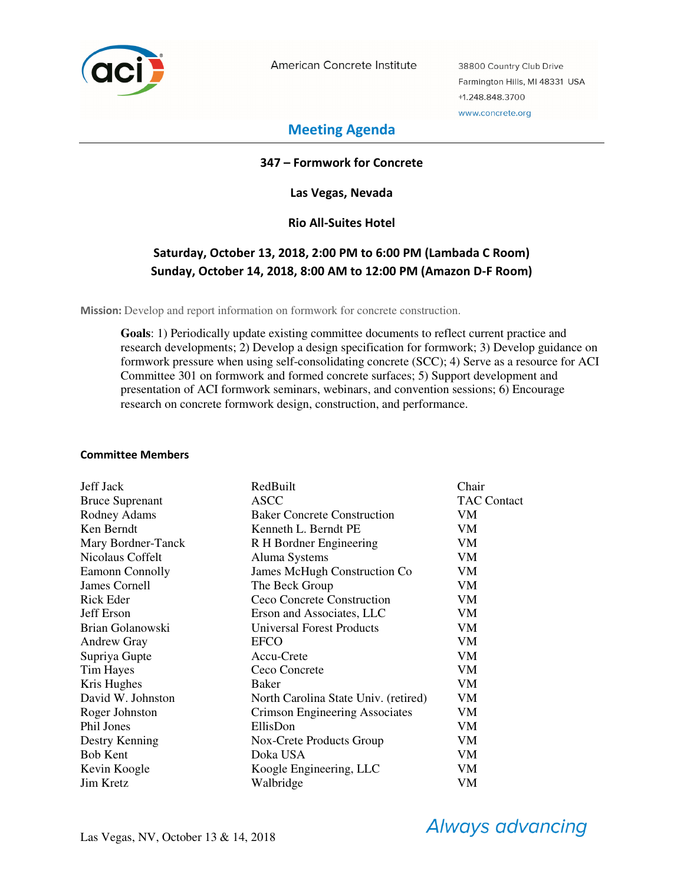

American Concrete Institute

38800 Country Club Drive Farmington Hills, MI 48331 USA +1.248.848.3700 www.concrete.org

# **Meeting Agenda**

### **347 – Formwork for Concrete**

**Las Vegas, Nevada** 

### **Rio All-Suites Hotel**

# **Saturday, October 13, 2018, 2:00 PM to 6:00 PM (Lambada C Room) Sunday, October 14, 2018, 8:00 AM to 12:00 PM (Amazon D-F Room)**

**Mission:** Develop and report information on formwork for concrete construction.

**Goals**: 1) Periodically update existing committee documents to reflect current practice and research developments; 2) Develop a design specification for formwork; 3) Develop guidance on formwork pressure when using self-consolidating concrete (SCC); 4) Serve as a resource for ACI Committee 301 on formwork and formed concrete surfaces; 5) Support development and presentation of ACI formwork seminars, webinars, and convention sessions; 6) Encourage research on concrete formwork design, construction, and performance.

#### **Committee Members**

| <b>Jeff Jack</b>       | RedBuilt                             | Chair              |
|------------------------|--------------------------------------|--------------------|
| <b>Bruce Suprenant</b> | ASCC                                 | <b>TAC Contact</b> |
| Rodney Adams           | <b>Baker Concrete Construction</b>   | VM                 |
| Ken Berndt             | Kenneth L. Berndt PE                 | VM                 |
| Mary Bordner-Tanck     | R H Bordner Engineering              | VM                 |
| Nicolaus Coffelt       | Aluma Systems                        | VM                 |
| Eamonn Connolly        | James McHugh Construction Co         | VM                 |
| James Cornell          | The Beck Group                       | VM                 |
| Rick Eder              | Ceco Concrete Construction           | VM                 |
| <b>Jeff Erson</b>      | Erson and Associates, LLC            | VM                 |
| Brian Golanowski       | <b>Universal Forest Products</b>     | VM                 |
| <b>Andrew Gray</b>     | <b>EFCO</b>                          | <b>VM</b>          |
| Supriya Gupte          | Accu-Crete                           | VM                 |
| Tim Hayes              | Ceco Concrete                        | VM                 |
| Kris Hughes            | Baker                                | VM                 |
| David W. Johnston      | North Carolina State Univ. (retired) | VM                 |
| Roger Johnston         | Crimson Engineering Associates       | VM                 |
| Phil Jones             | EllisDon                             | VM                 |
| Destry Kenning         | Nox-Crete Products Group             | VM                 |
| <b>Bob Kent</b>        | Doka USA                             | VM                 |
| Kevin Koogle           | Koogle Engineering, LLC              | VM                 |
| <b>Jim Kretz</b>       | Walbridge                            | VM                 |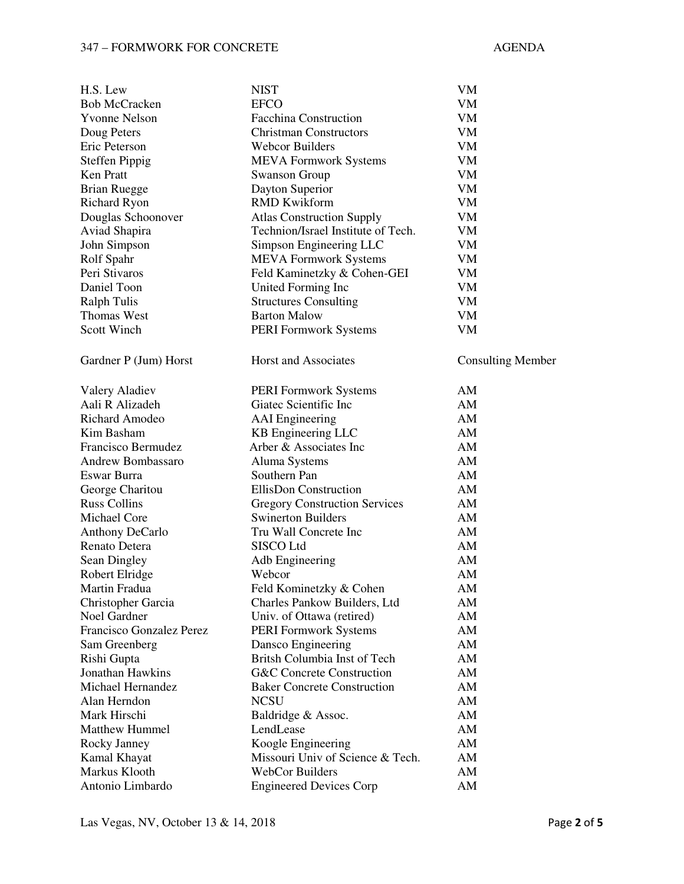#### 347 – FORMWORK FOR CONCRETE AGENDA

| H.S. Lew                              | <b>NIST</b>                                        | VM                       |
|---------------------------------------|----------------------------------------------------|--------------------------|
| <b>Bob McCracken</b>                  | <b>EFCO</b>                                        | VM                       |
| <b>Yvonne Nelson</b>                  | <b>Facchina Construction</b>                       | VM                       |
| Doug Peters                           | <b>Christman Constructors</b>                      | <b>VM</b>                |
| Eric Peterson                         | <b>Webcor Builders</b>                             | <b>VM</b>                |
| Steffen Pippig                        | <b>MEVA Formwork Systems</b>                       | ${\it VM}$               |
| Ken Pratt                             | <b>Swanson Group</b>                               | VM                       |
| <b>Brian Ruegge</b>                   | Dayton Superior                                    | VM                       |
| <b>Richard Ryon</b>                   | <b>RMD Kwikform</b>                                | VM                       |
| Douglas Schoonover                    | <b>Atlas Construction Supply</b>                   | VM                       |
| Aviad Shapira                         | Technion/Israel Institute of Tech.                 | VM                       |
| John Simpson                          | Simpson Engineering LLC                            | VM                       |
| Rolf Spahr                            | <b>MEVA Formwork Systems</b>                       | VM                       |
| Peri Stivaros                         | Feld Kaminetzky & Cohen-GEI                        | <b>VM</b>                |
| Daniel Toon                           | United Forming Inc                                 | ${\rm VM}$               |
| <b>Ralph Tulis</b>                    | <b>Structures Consulting</b>                       | VM                       |
| <b>Thomas West</b>                    | <b>Barton Malow</b>                                | VM                       |
| <b>Scott Winch</b>                    | <b>PERI Formwork Systems</b>                       | VM                       |
| Gardner P (Jum) Horst                 | Horst and Associates                               | <b>Consulting Member</b> |
| Valery Aladiev                        | <b>PERI Formwork Systems</b>                       | AM                       |
| Aali R Alizadeh                       | Giatec Scientific Inc                              | AM                       |
| Richard Amodeo                        | <b>AAI</b> Engineering                             | AM                       |
| Kim Basham                            | KB Engineering LLC                                 | AM                       |
| Francisco Bermudez                    | Arber & Associates Inc                             | AM                       |
| Andrew Bombassaro                     | Aluma Systems                                      | AM                       |
| Eswar Burra                           | Southern Pan                                       | AM                       |
| George Charitou                       | <b>EllisDon Construction</b>                       | AM                       |
| <b>Russ Collins</b>                   | <b>Gregory Construction Services</b>               | AM                       |
| Michael Core                          | <b>Swinerton Builders</b>                          | AM                       |
| Anthony DeCarlo                       | Tru Wall Concrete Inc                              | AM                       |
| Renato Detera                         | SISCO Ltd                                          | AM                       |
| Sean Dingley                          | Adb Engineering                                    | AM                       |
| Robert Elridge                        | Webcor                                             | AM                       |
| Martin Fradua                         | Feld Kominetzky & Cohen                            | AM                       |
| Christopher Garcia                    | Charles Pankow Builders, Ltd                       | AM                       |
| Noel Gardner                          | Univ. of Ottawa (retired)                          | AM                       |
| Francisco Gonzalez Perez              | <b>PERI Formwork Systems</b>                       | AM                       |
| Sam Greenberg                         |                                                    | AM                       |
|                                       | Dansco Engineering<br>Britsh Columbia Inst of Tech | AM                       |
| Rishi Gupta                           |                                                    |                          |
| Jonathan Hawkins<br>Michael Hernandez | <b>G&amp;C Concrete Construction</b>               | AM                       |
|                                       | <b>Baker Concrete Construction</b>                 | AM                       |
| Alan Herndon                          | <b>NCSU</b>                                        | AM                       |
| Mark Hirschi                          | Baldridge & Assoc.                                 | AM                       |
| <b>Matthew Hummel</b>                 | LendLease                                          | AM                       |
| Rocky Janney                          | Koogle Engineering                                 | AM                       |
| Kamal Khayat                          | Missouri Univ of Science & Tech.                   | AM                       |
| Markus Klooth                         | WebCor Builders                                    | AM                       |
| Antonio Limbardo                      | <b>Engineered Devices Corp</b>                     | AM                       |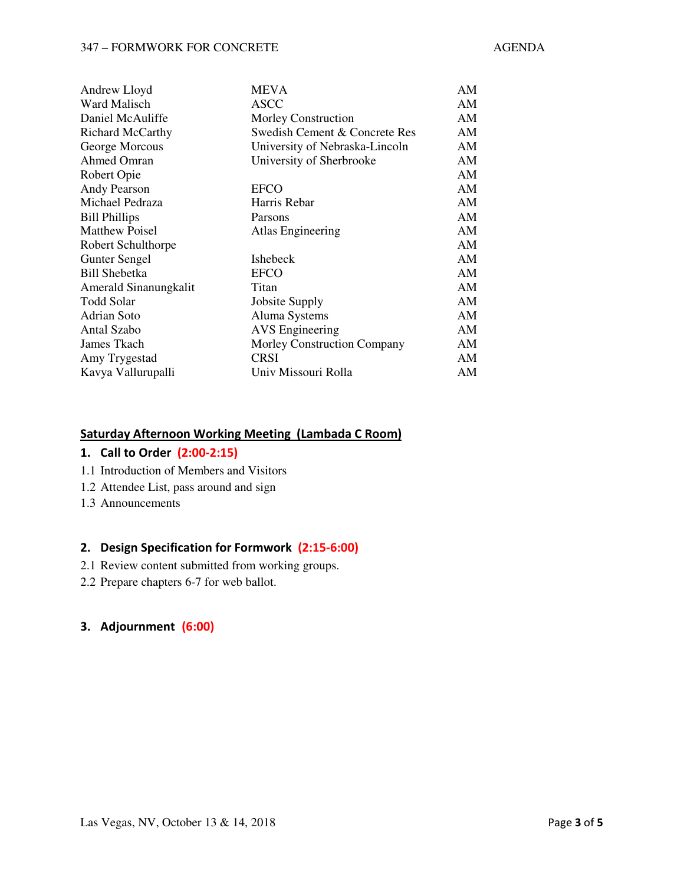#### 347 – FORMWORK FOR CONCRETE AGENDA

| Andrew Lloyd            | MEVA                               | AM |
|-------------------------|------------------------------------|----|
| Ward Malisch            | <b>ASCC</b>                        | AM |
| Daniel McAuliffe        | <b>Morley Construction</b>         | AM |
| <b>Richard McCarthy</b> | Swedish Cement & Concrete Res      | AM |
| George Morcous          | University of Nebraska-Lincoln     | AM |
| Ahmed Omran             | University of Sherbrooke           | AM |
| Robert Opie             |                                    | AM |
| <b>Andy Pearson</b>     | <b>EFCO</b>                        | AM |
| Michael Pedraza         | Harris Rebar                       | AM |
| <b>Bill Phillips</b>    | Parsons                            | AM |
| <b>Matthew Poisel</b>   | Atlas Engineering                  | AM |
| Robert Schulthorpe      |                                    | AM |
| <b>Gunter Sengel</b>    | <b>Ishebeck</b>                    | AM |
| <b>Bill Shebetka</b>    | <b>EFCO</b>                        | AM |
| Amerald Sinanungkalit   | Titan                              | AM |
| Todd Solar              | <b>Jobsite Supply</b>              | AM |
| Adrian Soto             | Aluma Systems                      | AM |
| Antal Szabo             | <b>AVS</b> Engineering             | AM |
| James Tkach             | <b>Morley Construction Company</b> | AM |
| Amy Trygestad           | <b>CRSI</b>                        | AM |
| Kavya Vallurupalli      | Univ Missouri Rolla                | AΜ |

#### **Saturday Afternoon Working Meeting (Lambada C Room)**

#### **1. Call to Order (2:00-2:15)**

- 1.1 Introduction of Members and Visitors
- 1.2 Attendee List, pass around and sign
- 1.3 Announcements

#### **2. Design Specification for Formwork (2:15-6:00)**

- 2.1 Review content submitted from working groups.
- 2.2 Prepare chapters 6-7 for web ballot.

## **3. Adjournment (6:00)**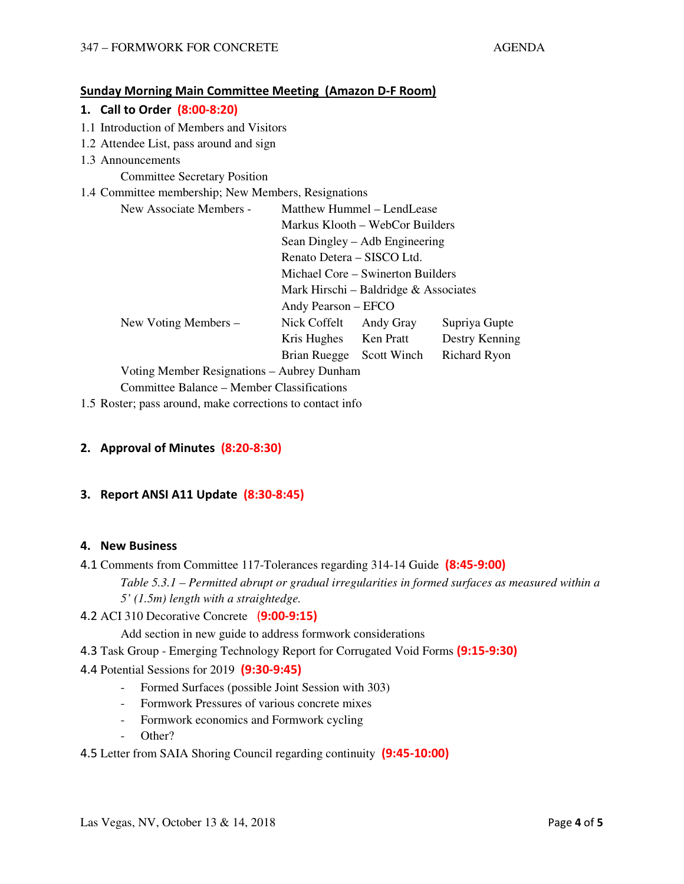### **Sunday Morning Main Committee Meeting (Amazon D-F Room)**

## **1. Call to Order (8:00-8:20)**

- 1.1 Introduction of Members and Visitors
- 1.2 Attendee List, pass around and sign
- 1.3 Announcements

Committee Secretary Position

### 1.4 Committee membership; New Members, Resignations

| New Associate Members -                    | Matthew Hummel – LendLease                                      |             |                |  |  |
|--------------------------------------------|-----------------------------------------------------------------|-------------|----------------|--|--|
|                                            | Markus Klooth – WebCor Builders                                 |             |                |  |  |
|                                            | Sean Dingley – Adb Engineering                                  |             |                |  |  |
|                                            | Renato Detera – SISCO Ltd.<br>Michael Core – Swinerton Builders |             |                |  |  |
|                                            |                                                                 |             |                |  |  |
|                                            | Mark Hirschi – Baldridge $\&$ Associates<br>Andy Pearson – EFCO |             |                |  |  |
|                                            |                                                                 |             |                |  |  |
| New Voting Members –                       | Nick Coffelt                                                    | Andy Gray   | Supriya Gupte  |  |  |
|                                            | Kris Hughes                                                     | Ken Pratt   | Destry Kenning |  |  |
|                                            | Brian Ruegge                                                    | Scott Winch | Richard Ryon   |  |  |
| Voting Member Resignations – Aubrey Dunham |                                                                 |             |                |  |  |

Committee Balance – Member Classifications

1.5 Roster; pass around, make corrections to contact info

## **2. Approval of Minutes (8:20-8:30)**

## **3. Report ANSI A11 Update (8:30-8:45)**

#### **4. New Business**

- 4.1 Comments from Committee 117-Tolerances regarding 314-14 Guide **(8:45-9:00)** *Table 5.3.1 – Permitted abrupt or gradual irregularities in formed surfaces as measured within a 5' (1.5m) length with a straightedge.*
- 4.2 ACI 310 Decorative Concrete (**9:00-9:15)**

Add section in new guide to address formwork considerations

- 4.3 Task Group Emerging Technology Report for Corrugated Void Forms **(9:15-9:30)**
- 4.4 Potential Sessions for 2019 **(9:30-9:45)**
	- Formed Surfaces (possible Joint Session with 303)
	- Formwork Pressures of various concrete mixes
	- Formwork economics and Formwork cycling
		- Other?
- 4.5 Letter from SAIA Shoring Council regarding continuity **(9:45-10:00)**